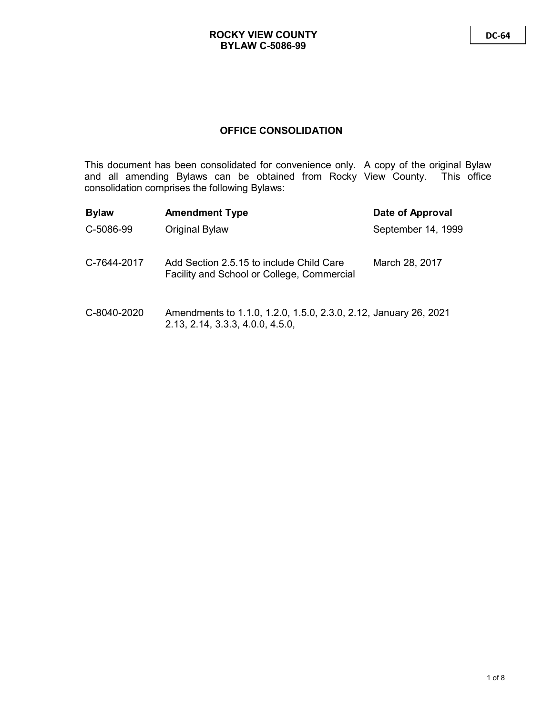# **OFFICE CONSOLIDATION**

This document has been consolidated for convenience only. A copy of the original Bylaw and all amending Bylaws can be obtained from Rocky View County. This office consolidation comprises the following Bylaws:

| <b>Bylaw</b> | <b>Amendment Type</b>                                                                  | Date of Approval   |
|--------------|----------------------------------------------------------------------------------------|--------------------|
| C-5086-99    | Original Bylaw                                                                         | September 14, 1999 |
| C-7644-2017  | Add Section 2.5.15 to include Child Care<br>Facility and School or College, Commercial | March 28, 2017     |
| C-8040-2020  | Amendments to 1.1.0, 1.2.0, 1.5.0, 2.3.0, 2.12, January 26, 2021                       |                    |

2.13, 2.14, 3.3.3, 4.0.0, 4.5.0,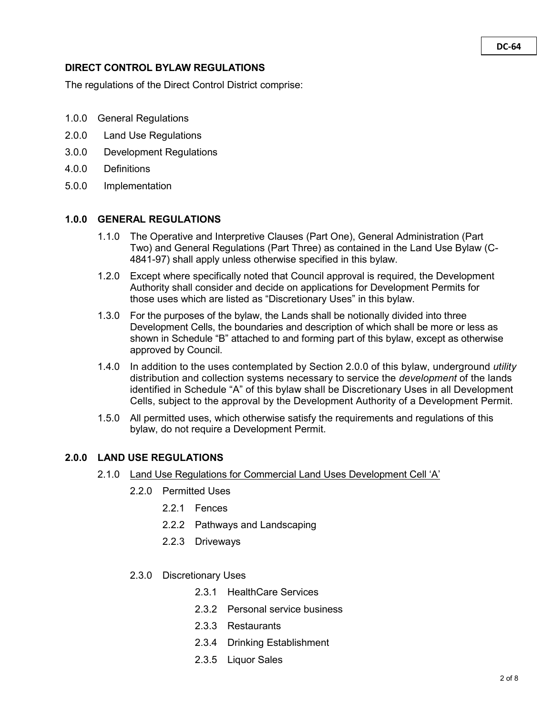#### **DC-64**

### **DIRECT CONTROL BYLAW REGULATIONS**

The regulations of the Direct Control District comprise:

- 1.0.0 General Regulations
- 2.0.0 Land Use Regulations
- 3.0.0 Development Regulations
- 4.0.0 Definitions
- 5.0.0 Implementation

## **1.0.0 GENERAL REGULATIONS**

- 1.1.0 The Operative and Interpretive Clauses (Part One), General Administration (Part Two) and General Regulations (Part Three) as contained in the Land Use Bylaw (C-4841-97) shall apply unless otherwise specified in this bylaw.
- 1.2.0 Except where specifically noted that Council approval is required, the Development Authority shall consider and decide on applications for Development Permits for those uses which are listed as "Discretionary Uses" in this bylaw.
- 1.3.0 For the purposes of the bylaw, the Lands shall be notionally divided into three Development Cells, the boundaries and description of which shall be more or less as shown in Schedule "B" attached to and forming part of this bylaw, except as otherwise approved by Council.
- 1.4.0 In addition to the uses contemplated by Section 2.0.0 of this bylaw, underground *utility* distribution and collection systems necessary to service the *development* of the lands identified in Schedule "A" of this bylaw shall be Discretionary Uses in all Development Cells, subject to the approval by the Development Authority of a Development Permit.
- 1.5.0 All permitted uses, which otherwise satisfy the requirements and regulations of this bylaw, do not require a Development Permit.

## **2.0.0 LAND USE REGULATIONS**

- 2.1.0 Land Use Regulations for Commercial Land Uses Development Cell 'A'
	- 2.2.0 Permitted Uses
		- 2.2.1 Fences
		- 2.2.2 Pathways and Landscaping
		- 2.2.3 Driveways
	- 2.3.0 Discretionary Uses
		- 2.3.1 HealthCare Services
		- 2.3.2 Personal service business
		- 2.3.3 Restaurants
		- 2.3.4 Drinking Establishment
		- 2.3.5 Liquor Sales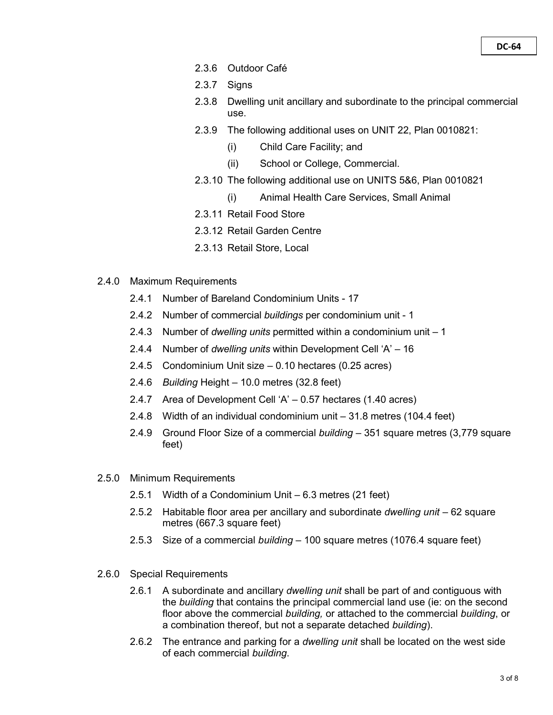- 2.3.6 Outdoor Café
- 2.3.7 Signs
- 2.3.8 Dwelling unit ancillary and subordinate to the principal commercial use.
- 2.3.9 The following additional uses on UNIT 22, Plan 0010821:
	- (i) Child Care Facility; and
	- (ii) School or College, Commercial.
- 2.3.10 The following additional use on UNITS 5&6, Plan 0010821
	- (i) Animal Health Care Services, Small Animal
- 2.3.11 Retail Food Store
- 2.3.12 Retail Garden Centre
- 2.3.13 Retail Store, Local
- 2.4.0 Maximum Requirements
	- 2.4.1 Number of Bareland Condominium Units 17
	- 2.4.2 Number of commercial *buildings* per condominium unit 1
	- 2.4.3 Number of *dwelling units* permitted within a condominium unit 1
	- 2.4.4 Number of *dwelling units* within Development Cell 'A' 16
	- 2.4.5 Condominium Unit size 0.10 hectares (0.25 acres)
	- 2.4.6 *Building* Height 10.0 metres (32.8 feet)
	- 2.4.7 Area of Development Cell 'A' 0.57 hectares (1.40 acres)
	- 2.4.8 Width of an individual condominium unit 31.8 metres (104.4 feet)
	- 2.4.9 Ground Floor Size of a commercial *building* 351 square metres (3,779 square feet)
- 2.5.0 Minimum Requirements
	- 2.5.1 Width of a Condominium Unit 6.3 metres (21 feet)
	- 2.5.2 Habitable floor area per ancillary and subordinate *dwelling unit* 62 square metres (667.3 square feet)
	- 2.5.3 Size of a commercial *building* 100 square metres (1076.4 square feet)
- 2.6.0 Special Requirements
	- 2.6.1 A subordinate and ancillary *dwelling unit* shall be part of and contiguous with the *building* that contains the principal commercial land use (ie: on the second floor above the commercial *building,* or attached to the commercial *building*, or a combination thereof, but not a separate detached *building*).
	- 2.6.2 The entrance and parking for a *dwelling unit* shall be located on the west side of each commercial *building*.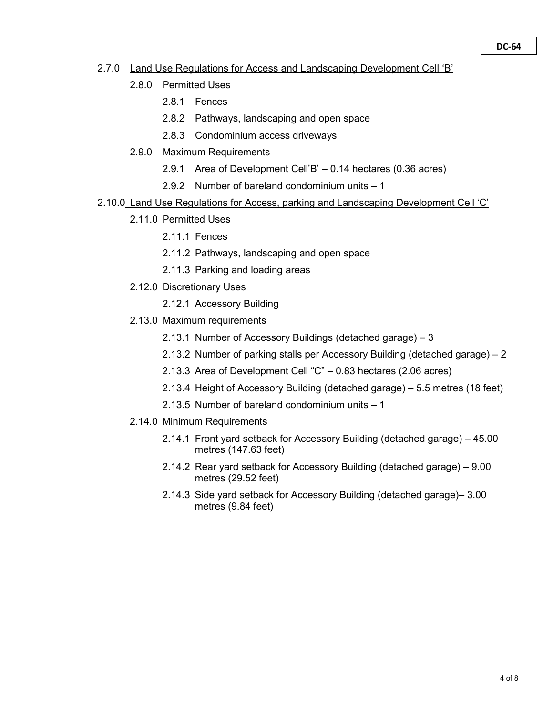- 2.7.0 Land Use Regulations for Access and Landscaping Development Cell 'B'
	- 2.8.0 Permitted Uses
		- 2.8.1 Fences
		- 2.8.2 Pathways, landscaping and open space
		- 2.8.3 Condominium access driveways
	- 2.9.0 Maximum Requirements
		- 2.9.1 Area of Development Cell'B' 0.14 hectares (0.36 acres)
		- 2.9.2 Number of bareland condominium units 1
- 2.10.0 Land Use Regulations for Access, parking and Landscaping Development Cell 'C'
	- 2.11.0 Permitted Uses
		- 2.11.1 Fences
		- 2.11.2 Pathways, landscaping and open space
		- 2.11.3 Parking and loading areas
	- 2.12.0 Discretionary Uses
		- 2.12.1 Accessory Building
	- 2.13.0 Maximum requirements
		- 2.13.1 Number of Accessory Buildings (detached garage) 3
		- 2.13.2 Number of parking stalls per Accessory Building (detached garage) 2
		- 2.13.3 Area of Development Cell "C" 0.83 hectares (2.06 acres)
		- 2.13.4 Height of Accessory Building (detached garage) 5.5 metres (18 feet)
		- 2.13.5 Number of bareland condominium units 1
	- 2.14.0 Minimum Requirements
		- 2.14.1 Front yard setback for Accessory Building (detached garage) 45.00 metres (147.63 feet)
		- 2.14.2 Rear yard setback for Accessory Building (detached garage) 9.00 metres (29.52 feet)
		- 2.14.3 Side yard setback for Accessory Building (detached garage)– 3.00 metres (9.84 feet)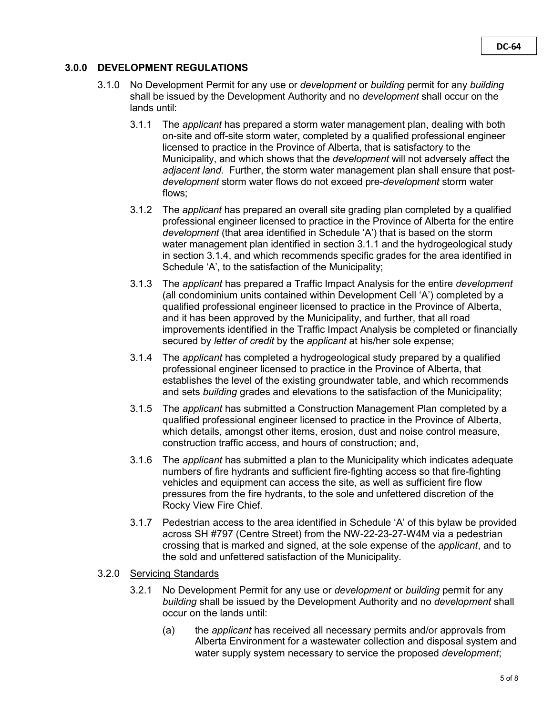# **3.0.0 DEVELOPMENT REGULATIONS**

- 3.1.0 No Development Permit for any use or *development* or *building* permit for any *building* shall be issued by the Development Authority and no *development* shall occur on the lands until:
	- 3.1.1 The *applicant* has prepared a storm water management plan, dealing with both on-site and off-site storm water, completed by a qualified professional engineer licensed to practice in the Province of Alberta, that is satisfactory to the Municipality, and which shows that the *development* will not adversely affect the *adjacent land*. Further, the storm water management plan shall ensure that post*development* storm water flows do not exceed pre-*development* storm water flows;
	- 3.1.2 The *applicant* has prepared an overall site grading plan completed by a qualified professional engineer licensed to practice in the Province of Alberta for the entire *development* (that area identified in Schedule 'A') that is based on the storm water management plan identified in section 3.1.1 and the hydrogeological study in section 3.1.4, and which recommends specific grades for the area identified in Schedule 'A', to the satisfaction of the Municipality;
	- 3.1.3 The *applicant* has prepared a Traffic Impact Analysis for the entire *development*  (all condominium units contained within Development Cell 'A') completed by a qualified professional engineer licensed to practice in the Province of Alberta, and it has been approved by the Municipality, and further, that all road improvements identified in the Traffic Impact Analysis be completed or financially secured by *letter of credit* by the *applicant* at his/her sole expense;
	- 3.1.4 The *applicant* has completed a hydrogeological study prepared by a qualified professional engineer licensed to practice in the Province of Alberta, that establishes the level of the existing groundwater table, and which recommends and sets *building* grades and elevations to the satisfaction of the Municipality;
	- 3.1.5 The *applicant* has submitted a Construction Management Plan completed by a qualified professional engineer licensed to practice in the Province of Alberta, which details, amongst other items, erosion, dust and noise control measure, construction traffic access, and hours of construction; and,
	- 3.1.6 The *applicant* has submitted a plan to the Municipality which indicates adequate numbers of fire hydrants and sufficient fire-fighting access so that fire-fighting vehicles and equipment can access the site, as well as sufficient fire flow pressures from the fire hydrants, to the sole and unfettered discretion of the Rocky View Fire Chief.
	- 3.1.7 Pedestrian access to the area identified in Schedule 'A' of this bylaw be provided across SH #797 (Centre Street) from the NW-22-23-27-W4M via a pedestrian crossing that is marked and signed, at the sole expense of the *applicant*, and to the sold and unfettered satisfaction of the Municipality.

## 3.2.0 Servicing Standards

- 3.2.1 No Development Permit for any use or *development* or *building* permit for any *building* shall be issued by the Development Authority and no *development* shall occur on the lands until:
	- (a) the *applicant* has received all necessary permits and/or approvals from Alberta Environment for a wastewater collection and disposal system and water supply system necessary to service the proposed *development*;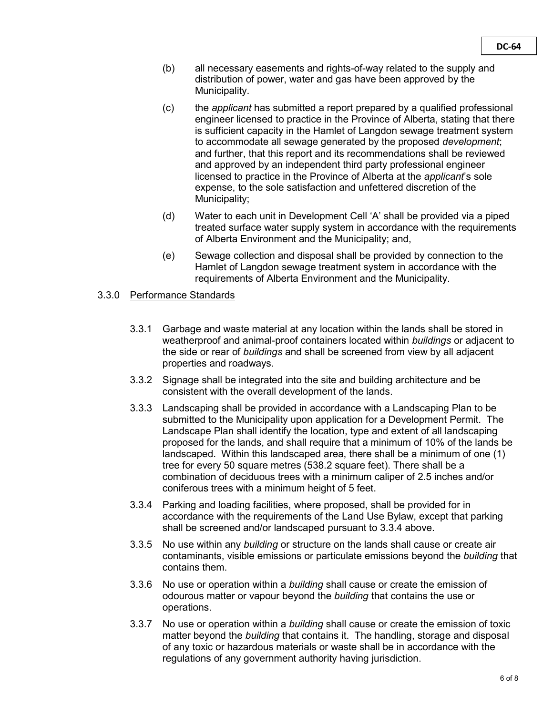- (b) all necessary easements and rights-of-way related to the supply and distribution of power, water and gas have been approved by the Municipality.
- (c) the *applicant* has submitted a report prepared by a qualified professional engineer licensed to practice in the Province of Alberta, stating that there is sufficient capacity in the Hamlet of Langdon sewage treatment system to accommodate all sewage generated by the proposed *development*; and further, that this report and its recommendations shall be reviewed and approved by an independent third party professional engineer licensed to practice in the Province of Alberta at the *applicant*'s sole expense, to the sole satisfaction and unfettered discretion of the Municipality;
- (d) Water to each unit in Development Cell 'A' shall be provided via a piped treated surface water supply system in accordance with the requirements of Alberta Environment and the Municipality; and,
- (e) Sewage collection and disposal shall be provided by connection to the Hamlet of Langdon sewage treatment system in accordance with the requirements of Alberta Environment and the Municipality.

## 3.3.0 Performance Standards

- 3.3.1 Garbage and waste material at any location within the lands shall be stored in weatherproof and animal-proof containers located within *buildings* or adjacent to the side or rear of *buildings* and shall be screened from view by all adjacent properties and roadways.
- 3.3.2 Signage shall be integrated into the site and building architecture and be consistent with the overall development of the lands.
- 3.3.3 Landscaping shall be provided in accordance with a Landscaping Plan to be submitted to the Municipality upon application for a Development Permit. The Landscape Plan shall identify the location, type and extent of all landscaping proposed for the lands, and shall require that a minimum of 10% of the lands be landscaped. Within this landscaped area, there shall be a minimum of one (1) tree for every 50 square metres (538.2 square feet). There shall be a combination of deciduous trees with a minimum caliper of 2.5 inches and/or coniferous trees with a minimum height of 5 feet.
- 3.3.4 Parking and loading facilities, where proposed, shall be provided for in accordance with the requirements of the Land Use Bylaw, except that parking shall be screened and/or landscaped pursuant to 3.3.4 above.
- 3.3.5 No use within any *building* or structure on the lands shall cause or create air contaminants, visible emissions or particulate emissions beyond the *building* that contains them.
- 3.3.6 No use or operation within a *building* shall cause or create the emission of odourous matter or vapour beyond the *building* that contains the use or operations.
- 3.3.7 No use or operation within a *building* shall cause or create the emission of toxic matter beyond the *building* that contains it. The handling, storage and disposal of any toxic or hazardous materials or waste shall be in accordance with the regulations of any government authority having jurisdiction.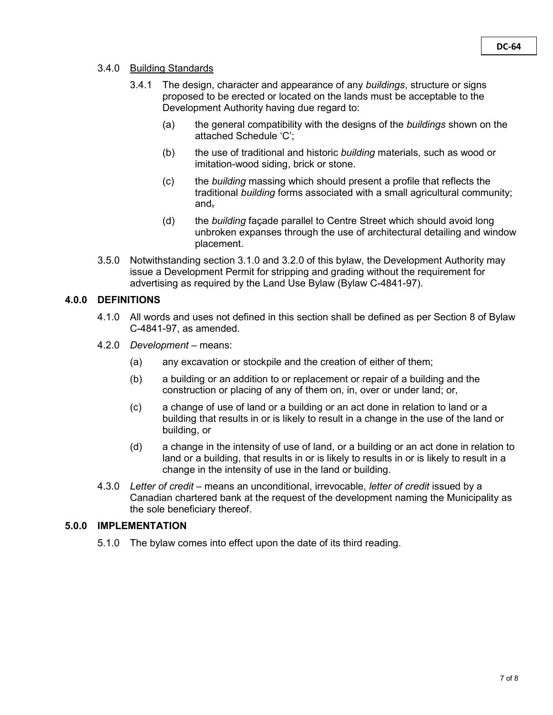### 3.4.0 Building Standards

- 3.4.1 The design, character and appearance of any *buildings*, structure or signs proposed to be erected or located on the lands must be acceptable to the Development Authority having due regard to:
	- (a) the general compatibility with the designs of the *buildings* shown on the attached Schedule 'C';
	- (b) the use of traditional and historic *building* materials, such as wood or imitation-wood siding, brick or stone.
	- (c) the *building* massing which should present a profile that reflects the traditional *building* forms associated with a small agricultural community; and,
	- (d) the *building* façade parallel to Centre Street which should avoid long unbroken expanses through the use of architectural detailing and window placement.
- 3.5.0 Notwithstanding section 3.1.0 and 3.2.0 of this bylaw, the Development Authority may issue a Development Permit for stripping and grading without the requirement for advertising as required by the Land Use Bylaw (Bylaw C-4841-97).

## **4.0.0 DEFINITIONS**

- 4.1.0 All words and uses not defined in this section shall be defined as per Section 8 of Bylaw C-4841-97, as amended.
- 4.2.0 *Development*  means:
	- (a) any excavation or stockpile and the creation of either of them;
	- (b) a building or an addition to or replacement or repair of a building and the construction or placing of any of them on, in, over or under land; or,
	- (c) a change of use of land or a building or an act done in relation to land or a building that results in or is likely to result in a change in the use of the land or building, or
	- (d) a change in the intensity of use of land, or a building or an act done in relation to land or a building, that results in or is likely to results in or is likely to result in a change in the intensity of use in the land or building.
- 4.3.0 *Letter of credit*  means an unconditional, irrevocable, *letter of credit* issued by a Canadian chartered bank at the request of the development naming the Municipality as the sole beneficiary thereof.

### **5.0.0 IMPLEMENTATION**

5.1.0 The bylaw comes into effect upon the date of its third reading.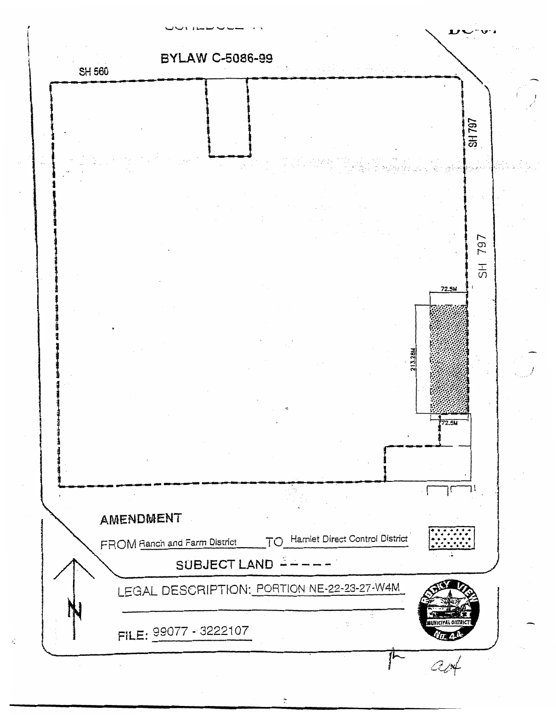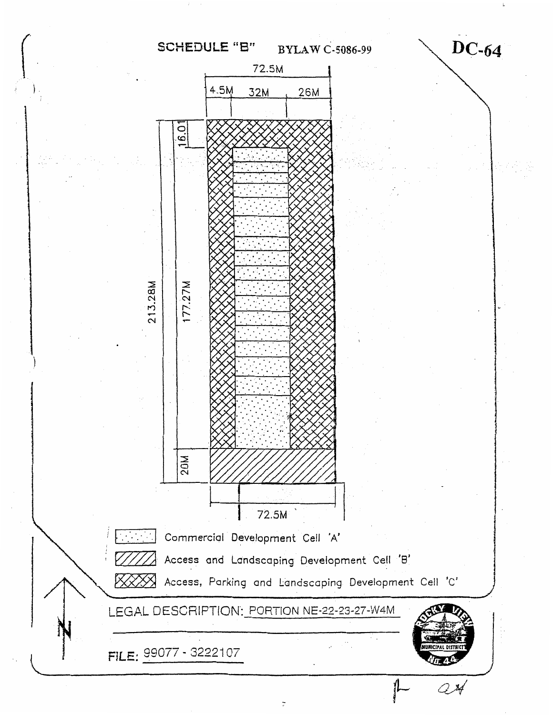#### **SCHEDULE "B" BYLAW C-5086-99**